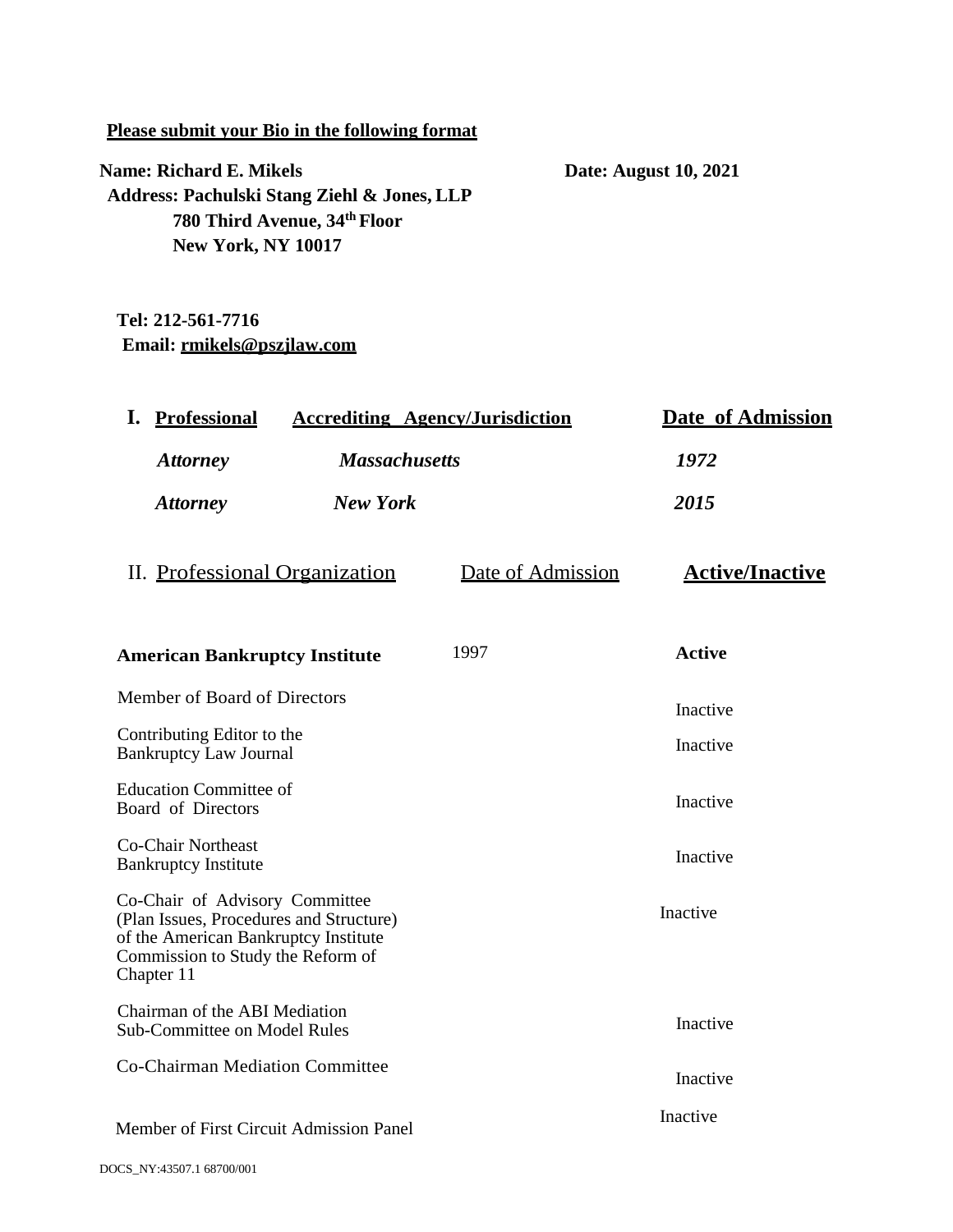#### **Please submit your Bio in the following format**

**Name: Richard E. Mikels Date: August 10, 2021 Address: Pachulski Stang Ziehl & Jones, LLP 780 Third Avenue, 34th Floor New York, NY 10017**

# **Tel: 212-561-7716 Email: [rmikels@pszjlaw.com](mailto:rmikels@pszjlaw.com)**

| <b>Massachusetts</b><br><b>Attorney</b><br>1972<br><b>New York</b><br>2015<br><b>Attorney</b><br>II. Professional Organization<br>Date of Admission<br><b>Active</b><br>1997<br><b>American Bankruptcy Institute</b><br>Member of Board of Directors<br>Inactive<br>Contributing Editor to the<br>Inactive<br><b>Bankruptcy Law Journal</b><br><b>Education Committee of</b><br>Inactive<br>Board of Directors<br><b>Co-Chair Northeast</b><br>Inactive<br><b>Bankruptcy Institute</b><br>Co-Chair of Advisory Committee<br>Inactive<br>(Plan Issues, Procedures and Structure)<br>of the American Bankruptcy Institute<br>Commission to Study the Reform of<br>Chapter 11<br>Chairman of the ABI Mediation<br>Inactive<br><b>Sub-Committee on Model Rules</b><br>Co-Chairman Mediation Committee<br>Inactive<br>Inactive<br>Member of First Circuit Admission Panel | I.<br><b>Professional</b> | <b>Accrediting Agency/Jurisdiction</b> | Date of Admission      |
|----------------------------------------------------------------------------------------------------------------------------------------------------------------------------------------------------------------------------------------------------------------------------------------------------------------------------------------------------------------------------------------------------------------------------------------------------------------------------------------------------------------------------------------------------------------------------------------------------------------------------------------------------------------------------------------------------------------------------------------------------------------------------------------------------------------------------------------------------------------------|---------------------------|----------------------------------------|------------------------|
|                                                                                                                                                                                                                                                                                                                                                                                                                                                                                                                                                                                                                                                                                                                                                                                                                                                                      |                           |                                        |                        |
|                                                                                                                                                                                                                                                                                                                                                                                                                                                                                                                                                                                                                                                                                                                                                                                                                                                                      |                           |                                        |                        |
|                                                                                                                                                                                                                                                                                                                                                                                                                                                                                                                                                                                                                                                                                                                                                                                                                                                                      |                           |                                        | <b>Active/Inactive</b> |
|                                                                                                                                                                                                                                                                                                                                                                                                                                                                                                                                                                                                                                                                                                                                                                                                                                                                      |                           |                                        |                        |
|                                                                                                                                                                                                                                                                                                                                                                                                                                                                                                                                                                                                                                                                                                                                                                                                                                                                      |                           |                                        |                        |
|                                                                                                                                                                                                                                                                                                                                                                                                                                                                                                                                                                                                                                                                                                                                                                                                                                                                      |                           |                                        |                        |
|                                                                                                                                                                                                                                                                                                                                                                                                                                                                                                                                                                                                                                                                                                                                                                                                                                                                      |                           |                                        |                        |
|                                                                                                                                                                                                                                                                                                                                                                                                                                                                                                                                                                                                                                                                                                                                                                                                                                                                      |                           |                                        |                        |
|                                                                                                                                                                                                                                                                                                                                                                                                                                                                                                                                                                                                                                                                                                                                                                                                                                                                      |                           |                                        |                        |
|                                                                                                                                                                                                                                                                                                                                                                                                                                                                                                                                                                                                                                                                                                                                                                                                                                                                      |                           |                                        |                        |
|                                                                                                                                                                                                                                                                                                                                                                                                                                                                                                                                                                                                                                                                                                                                                                                                                                                                      |                           |                                        |                        |
|                                                                                                                                                                                                                                                                                                                                                                                                                                                                                                                                                                                                                                                                                                                                                                                                                                                                      |                           |                                        |                        |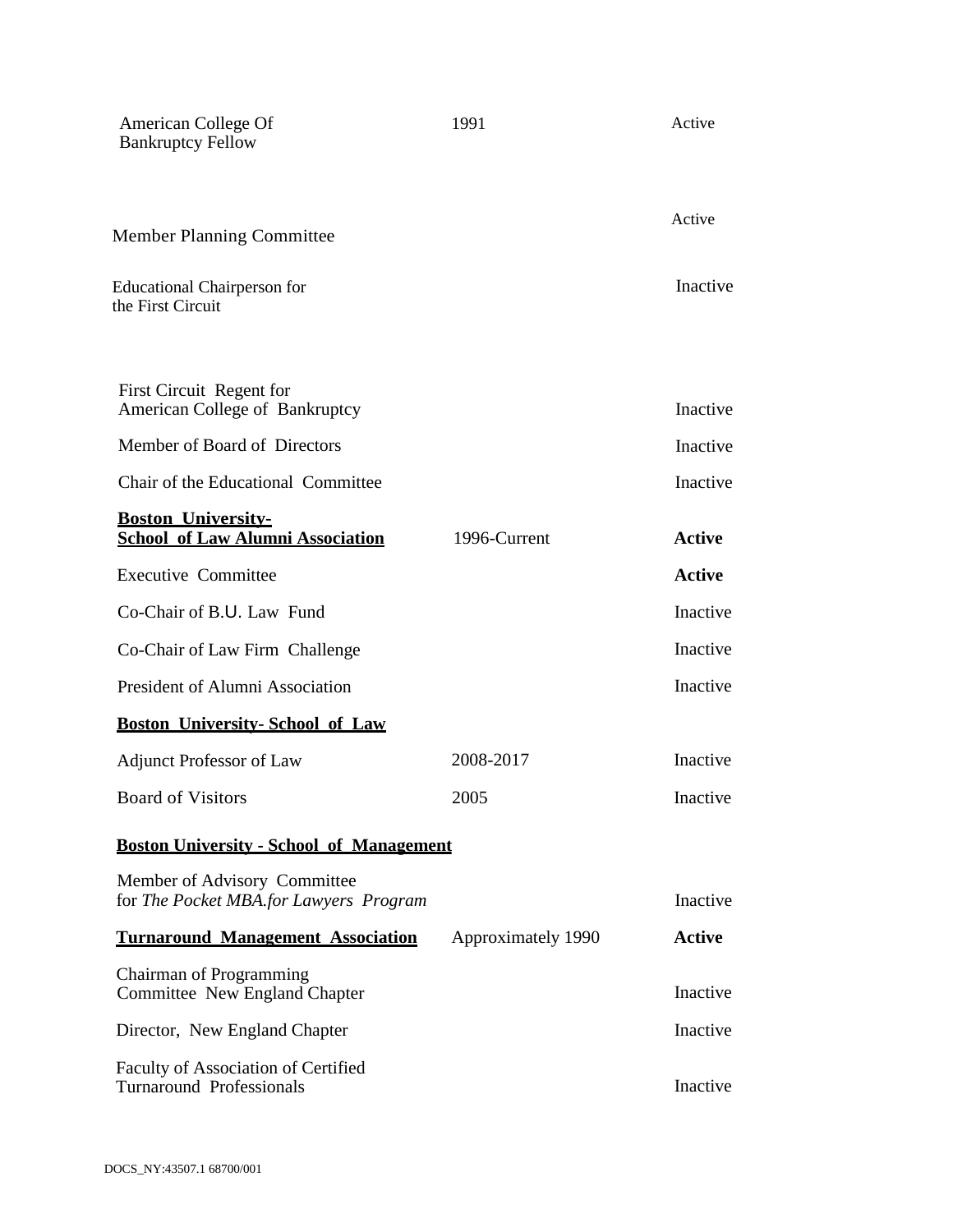| American College Of<br><b>Bankruptcy Fellow</b>                        | 1991               | Active        |
|------------------------------------------------------------------------|--------------------|---------------|
| <b>Member Planning Committee</b>                                       |                    | Active        |
| <b>Educational Chairperson for</b><br>the First Circuit                |                    | Inactive      |
| First Circuit Regent for<br>American College of Bankruptcy             |                    | Inactive      |
| Member of Board of Directors                                           |                    | Inactive      |
| Chair of the Educational Committee                                     |                    | Inactive      |
| <b>Boston University-</b><br><b>School of Law Alumni Association</b>   | 1996-Current       | <b>Active</b> |
| <b>Executive Committee</b>                                             |                    | <b>Active</b> |
| Co-Chair of B.U. Law Fund                                              |                    | Inactive      |
| Co-Chair of Law Firm Challenge                                         |                    | Inactive      |
| President of Alumni Association                                        |                    | Inactive      |
| <b>Boston University-School of Law</b>                                 |                    |               |
| <b>Adjunct Professor of Law</b>                                        | 2008-2017          | Inactive      |
| <b>Board of Visitors</b>                                               | 2005               | Inactive      |
| <b>Boston University - School of Management</b>                        |                    |               |
| Member of Advisory Committee<br>for The Pocket MBA.for Lawyers Program |                    | Inactive      |
| <b>Turnaround Management Association</b>                               | Approximately 1990 | Active        |
| Chairman of Programming<br>Committee New England Chapter               |                    | Inactive      |
| Director, New England Chapter                                          |                    | Inactive      |
| Faculty of Association of Certified<br><b>Turnaround Professionals</b> |                    | Inactive      |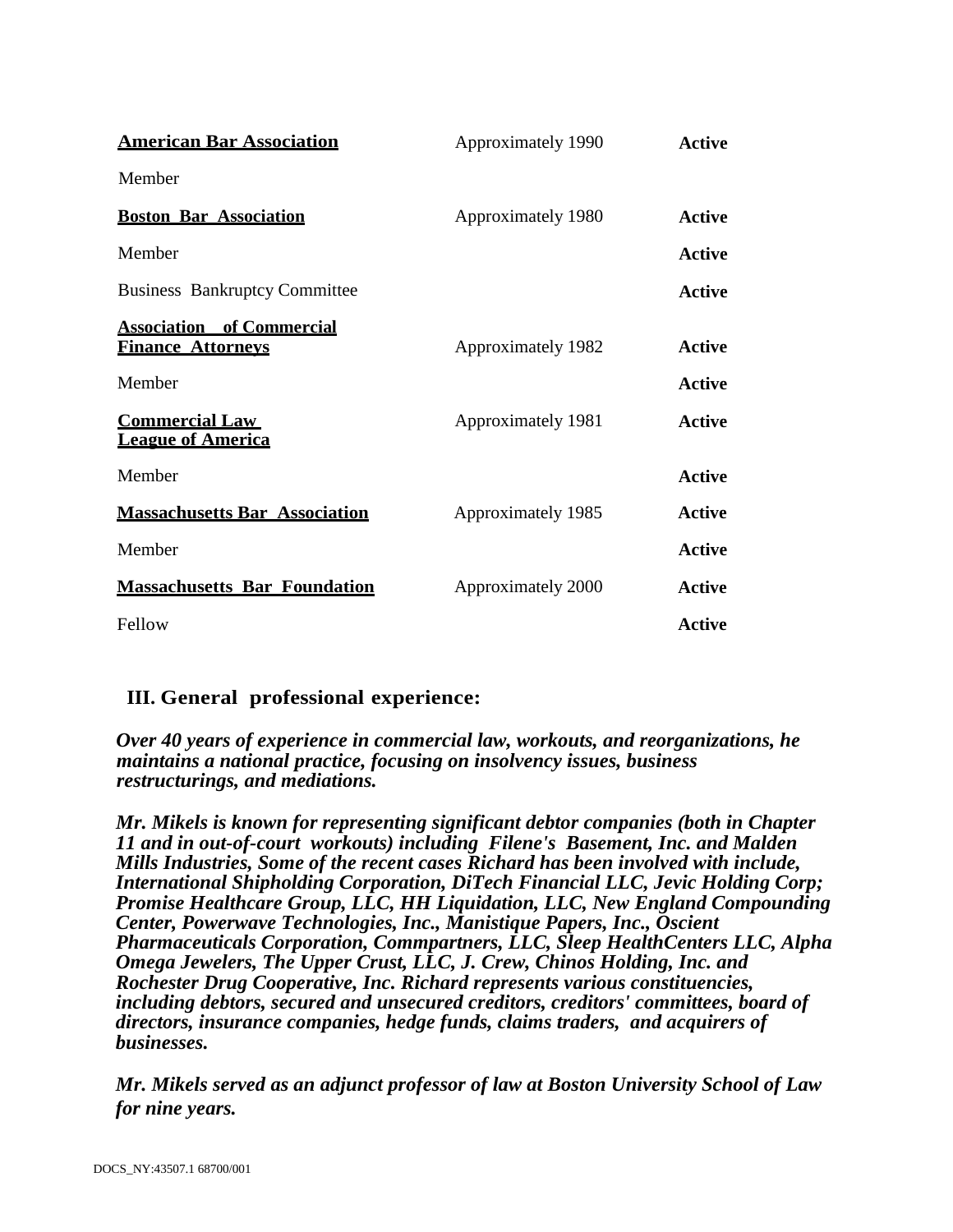| <b>American Bar Association</b>                              | Approximately 1990 | <b>Active</b> |
|--------------------------------------------------------------|--------------------|---------------|
| Member                                                       |                    |               |
| <b>Boston Bar Association</b>                                | Approximately 1980 | Active        |
| Member                                                       |                    | Active        |
| <b>Business Bankruptcy Committee</b>                         |                    | Active        |
| <b>Association</b> of Commercial<br><b>Finance Attorneys</b> | Approximately 1982 | Active        |
| Member                                                       |                    | <b>Active</b> |
| <b>Commercial Law</b><br><b>League of America</b>            | Approximately 1981 | <b>Active</b> |
| Member                                                       |                    | <b>Active</b> |
| <b>Massachusetts Bar Association</b>                         | Approximately 1985 | Active        |
| Member                                                       |                    | <b>Active</b> |
| <b>Massachusetts Bar Foundation</b>                          | Approximately 2000 | Active        |
| Fellow                                                       |                    | Active        |

## **III. General professional experience:**

*Over 40 years of experience in commercial law, workouts, and reorganizations, he maintains a national practice, focusing on insolvency issues, business restructurings, and mediations.*

*Mr. Mikels is known for representing significant debtor companies (both in Chapter 11 and in out-of-court workouts) including Filene's Basement, Inc. and Malden Mills Industries, Some of the recent cases Richard has been involved with include, International Shipholding Corporation, DiTech Financial LLC, Jevic Holding Corp; Promise Healthcare Group, LLC, HH Liquidation, LLC, New England Compounding Center, Powerwave Technologies, Inc., Manistique Papers, Inc., Oscient Pharmaceuticals Corporation, Commpartners, LLC, Sleep HealthCenters LLC, Alpha Omega Jewelers, The Upper Crust, LLC, J. Crew, Chinos Holding, Inc. and Rochester Drug Cooperative, Inc. Richard represents various constituencies, including debtors, secured and unsecured creditors, creditors' committees, board of directors, insurance companies, hedge funds, claims traders, and acquirers of businesses.*

*Mr. Mikels served as an adjunct professor of law at Boston University School of Law for nine years.*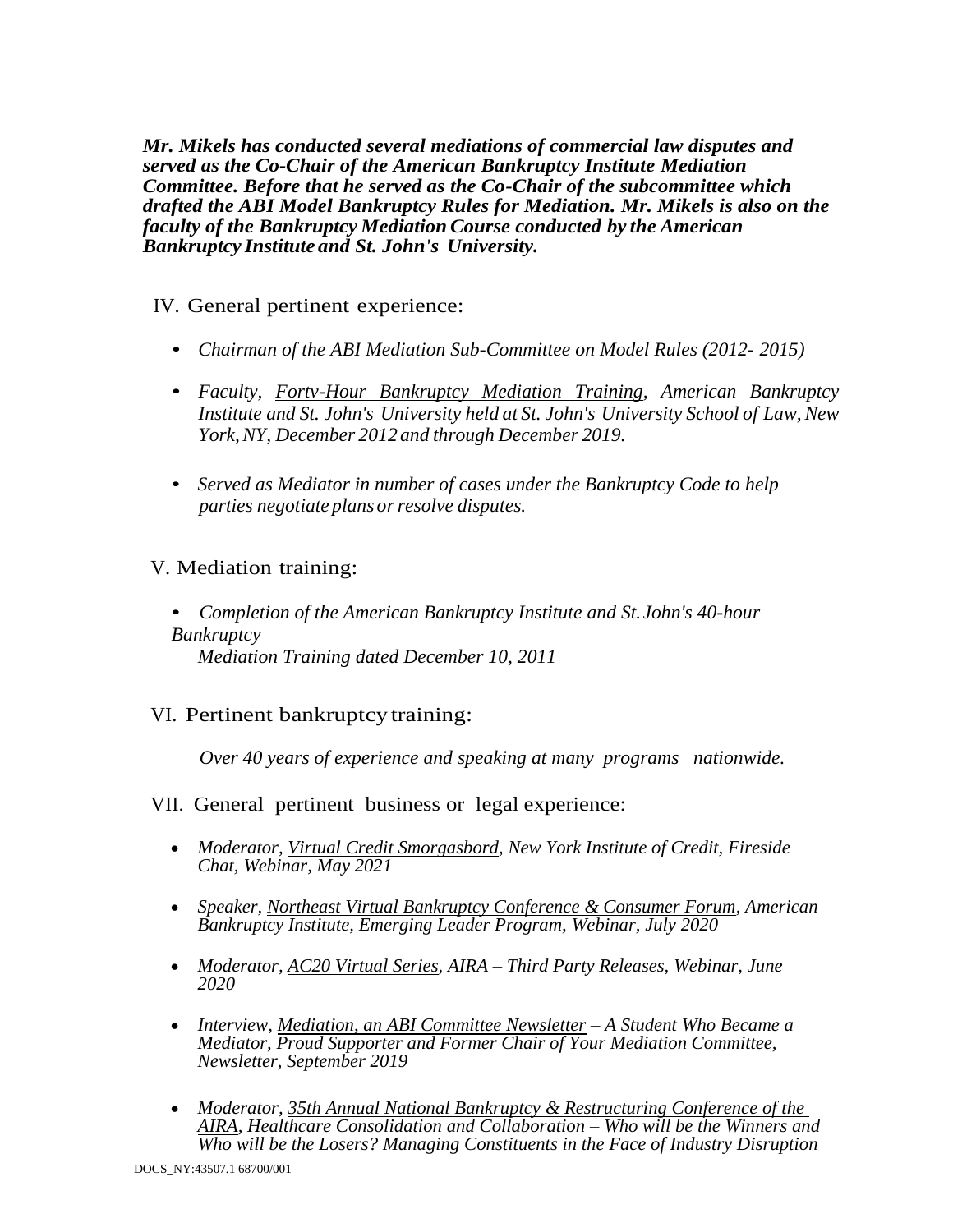*Mr. Mikels has conducted several mediations of commercial law disputes and served as the Co-Chair of the American Bankruptcy Institute Mediation Committee. Before that he served as the Co-Chair of the subcommittee which drafted the ABI Model Bankruptcy Rules for Mediation. Mr. Mikels is also on the faculty of the Bankruptcy MediationCourse conducted by the American Bankruptcy Institute and St. John's University.*

IV. General pertinent experience:

- *Chairman of the ABI Mediation Sub-Committee on Model Rules (2012- 2015)*
- *Faculty, Fortv-Hour Bankruptcy Mediation Training, American Bankruptcy Institute* and *St.* John's University held at *St.* John's University School of Law, New *York,NY, December 2012 and through December 2019.*
- *Served as Mediator in number of cases under the Bankruptcy Code to help parties negotiate plans orresolve disputes.*

## V. Mediation training:

• *Completion of the American Bankruptcy Institute and St.John's 40-hour Bankruptcy Mediation Training dated December 10, 2011*

## VI. Pertinent bankruptcy training:

*Over 40 years of experience and speaking at many programs nationwide.*

#### VII. General pertinent business or legal experience:

- *Moderator, Virtual Credit Smorgasbord, New York Institute of Credit, Fireside Chat, Webinar, May 2021*
- *Speaker, Northeast Virtual Bankruptcy Conference & Consumer Forum, American Bankruptcy Institute, Emerging Leader Program, Webinar, July 2020*
- *Moderator, AC20 Virtual Series, AIRA – Third Party Releases, Webinar, June 2020*
- *Interview, Mediation, an ABI Committee Newsletter – A Student Who Became a Mediator, Proud Supporter and Former Chair of Your Mediation Committee, Newsletter, September 2019*
- *Moderator, 35th Annual National Bankruptcy & Restructuring Conference of the AIRA, Healthcare Consolidation and Collaboration – Who will be the Winners and Who will be the Losers? Managing Constituents in the Face of Industry Disruption*